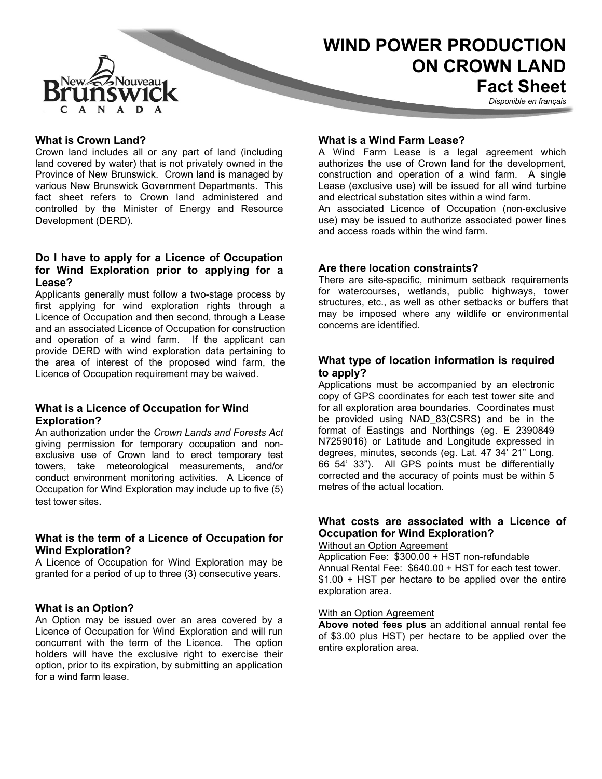

# **WIND POWER PRODUCTION ON CROWN LAND Fact Sheet**

*Disponible en français*

## **What is Crown Land?**

Crown land includes all or any part of land (including land covered by water) that is not privately owned in the Province of New Brunswick. Crown land is managed by various New Brunswick Government Departments. This fact sheet refers to Crown land administered and controlled by the Minister of Energy and Resource Development (DERD).

## **Do I have to apply for a Licence of Occupation for Wind Exploration prior to applying for a Lease?**

Applicants generally must follow a two-stage process by first applying for wind exploration rights through a Licence of Occupation and then second, through a Lease and an associated Licence of Occupation for construction and operation of a wind farm. If the applicant can provide DERD with wind exploration data pertaining to the area of interest of the proposed wind farm, the Licence of Occupation requirement may be waived.

# **What is a Licence of Occupation for Wind Exploration?**

An authorization under the *Crown Lands and Forests Act* giving permission for temporary occupation and nonexclusive use of Crown land to erect temporary test towers, take meteorological measurements, and/or conduct environment monitoring activities. A Licence of Occupation for Wind Exploration may include up to five (5) test tower sites.

# **What is the term of a Licence of Occupation for Wind Exploration?**

A Licence of Occupation for Wind Exploration may be granted for a period of up to three (3) consecutive years.

#### **What is an Option?**

An Option may be issued over an area covered by a Licence of Occupation for Wind Exploration and will run concurrent with the term of the Licence. The option holders will have the exclusive right to exercise their option, prior to its expiration, by submitting an application for a wind farm lease.

#### **What is a Wind Farm Lease?**

A Wind Farm Lease is a legal agreement which authorizes the use of Crown land for the development, construction and operation of a wind farm. A single Lease (exclusive use) will be issued for all wind turbine and electrical substation sites within a wind farm.

An associated Licence of Occupation (non-exclusive use) may be issued to authorize associated power lines and access roads within the wind farm.

#### **Are there location constraints?**

There are site-specific, minimum setback requirements for watercourses, wetlands, public highways, tower structures, etc., as well as other setbacks or buffers that may be imposed where any wildlife or environmental concerns are identified.

# **What type of location information is required to apply?**

Applications must be accompanied by an electronic copy of GPS coordinates for each test tower site and for all exploration area boundaries. Coordinates must be provided using NAD\_83(CSRS) and be in the format of Eastings and Northings (eg. E 2390849 N7259016) or Latitude and Longitude expressed in degrees, minutes, seconds (eg. Lat. 47 34' 21" Long. 66 54' 33"). All GPS points must be differentially corrected and the accuracy of points must be within 5 metres of the actual location.

#### **What costs are associated with a Licence of Occupation for Wind Exploration?** Without an Option Agreement

Application Fee: \$300.00 + HST non-refundable Annual Rental Fee: \$640.00 + HST for each test tower. \$1.00 + HST per hectare to be applied over the entire exploration area.

#### With an Option Agreement

**Above noted fees plus** an additional annual rental fee of \$3.00 plus HST) per hectare to be applied over the entire exploration area.